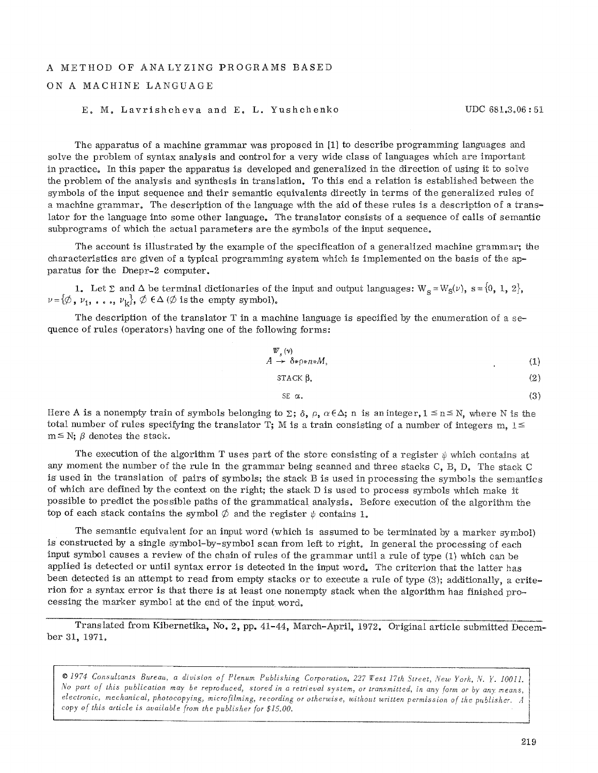## A METHOD OF ANALYZING PROGRAMS BASED

## ON A MACHINE LANGUAGE

## E. M. Lavrishcheva and E. L. Yushchenko UDC 681.3.06:51

The apparatus of a machine grammar was proposed in [1] to describe programming languages and solve the problem of syntax analysis and control for a very wide class of languages which are important in practice. In this paper the apparatus is developed and generaIized in the direction of using it to solve the problem of the analysis and synthesis in translation. To this end a relation is established between the symbols of the input sequence and their semantic equivalents directly in terms of the generalized rules of a machine grammar. The description of the language with the aid of these rules is a description of a translator for the language into some other language. The translator consists of a sequence of calls of semantic subprograms of which the actual parameters are the symbols of the input sequence.

The account is illustrated by the example of the specification of a generalized machine grammar; the eharacteristics are given of a typicaI programming system which is implemented on the basis of the apparatus for the Dnepr-2 computer.

1. Let  $\Sigma$  and  $\Delta$  be terminal dictionaries of the input and output languages:  $W_S = W_S(\nu)$ ,  $s = \{0, 1, 2\}$ ,  $\nu=[\emptyset, \nu_1, \ldots, \nu_k], \emptyset \in \Delta$  ( $\emptyset$  is the empty symbol).

The description of the translator T in a machine language is specified by the enumeration of a sequence of rules (operators) having one of the following forms:

$$
\begin{array}{c}\nW_s(v) \\
A \to \delta * \rho * n * M,\n\end{array} \tag{1}
$$

$$
STACK \beta, \qquad (2)
$$

$$
SE \alpha. \tag{3}
$$

Here A is a nonempty train of symbols belonging to  $\Sigma$ ;  $\delta$ ,  $\rho$ ,  $\alpha \in \Delta$ ; n is an integer,  $1 \le n \le N$ , where N is the total number of rules specifying the translator T; M is a train consisting of a number of integers m,  $1 \le$  $m \leq N$ ;  $\beta$  denotes the stack.

The execution of the algorithm T uses part of the store consisting of a register  $\psi$  which contains at any moment the number of the rule in the grammar being scanned and three stacks  $C$ ,  $B$ ,  $D<sub>s</sub>$  The stack  $C$ is used in the translation of pairs of symbols; the stack B is used in processing the symbols the semantics of which are defined by the context on the right; the stack D is used to process symbols which make it possible to predict the possible paths of the grammatical analysis. Before execution of the algorithm the top of each stack contains the symbol  $\emptyset$  and the register  $\psi$  contains 1.

The semantic equivalent for an input word (which is assumed to be terminated by a marker symbol) is constructed by a single symbol-by-symbol scan from left to right. In general the processing of each input symbol causes a review of the chain of rules of the grammar until a rule of type (t) which can be applied is detected or until syntax error is detected in the input word. The criterion that the latter has been detected is an attempt to read from empty stacks or to execute a rule of type (3); additionally, a criterion for a syntax error is that there is at least one nonempty stack when the algorithm has finished processing the marker symbol at the end of the input word.

Translated from Kibernetika, No. 2, pp. 41-44, March-Apri!, 1972. Original article submitted December 31, 1971.

*9 1974 Consultants Bureau, a division of Plenum Publishing Corporation, 227 Test 17th .Street, New York, N. Y. 100ll. No part of this publication may be reproduced., stored in a retrieval system~ or transmitted, in any form or by any means, electronic, mechanical, photocopying, microfilming, recording or otherwise, without written permission of the publisher\_ A copy of this article is available from the publisher for \$15.00.*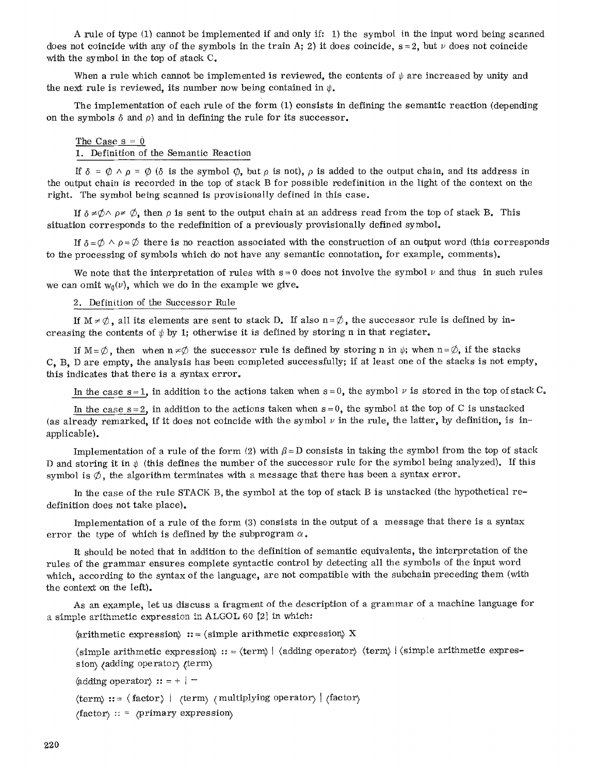A rule of type (1) cannot be implemented if and only if: !) the symbol in the input word being scarmed does not coincide with any of the symbols in the train A; 2) it does coincide,  $s = 2$ , but  $\nu$  does not coincide with the symbol in the top of stack C.

When a rule which cannot be implemented is reviewed, the contents of  $\psi$  are increased by unity and the next rule is reviewed, its number now being contained in  $\psi$ .

The implementation of each rule of the form (1) consists in defining the semantic reaction (depending on the symbols  $\delta$  and  $\rho$ ) and in defining the rule for its successor.

The Case  $s = 0$ 1. Definition of the Semantic Reaction

If  $\delta = \emptyset \wedge \rho = \emptyset$  ( $\delta$  is the symbol  $\emptyset$ , but  $\rho$  is not),  $\rho$  is added to the output chain, and its address in the output chain is recorded in the top of stack B for possible redefinition in the light of the context on the right. The symbol being scanned is provisionally defined in this case.

If  $\delta \neq \emptyset \land \rho \neq \emptyset$ , then  $\rho$  is sent to the output chain at an address read from the top of stack B. This situation corresponds to the redefinition of a previously provisionally defined symbol.

If  $\delta = \emptyset \land \rho = \emptyset$  there is no reaction associated with the construction of an output word (this corresponds to the processing of symbols which do not have any semantic connotation, for example, comments).

We note that the interpretation of rules with  $s = 0$  does not involve the symbol  $\nu$  and thus in such rules we can omit  $w_0(v)$ , which we do in the example we give.

2. Definition of the Successor Rule

If  $M \neq \emptyset$ , all its elements are sent to stack D. If also n= $\emptyset$ , the successor rule is defined by increasing the contents of  $\psi$  by 1; otherwise it is defined by storing n in that register.

If  $M = \emptyset$ , then when  $n \neq \emptyset$  the successor rule is defined by storing n in  $\psi$ ; when  $n = \emptyset$ , if the stacks C, B, D are empty, the analysis has been completed successfully; if at least one of the stacks is not empty, this indicates that there is a syntax error.

In the case s=1, in addition to the actions taken when  $s = 0$ , the symbol  $\nu$  is stored in the top of stack C.

In the case  $s=2$ , in addition to the actions taken when  $s=0$ , the symbol at the top of C is unstacked (as already remarked, if it does not coincide with the symbol  $\nu$  in the rule, the latter, by definition, is inapplicable).

Implementation of a rule of the form (2) with  $\beta = D$  consists in taking the symbol from the top of stack D and storing it in  $\psi$  (this defines the number of the successor rule for the symbol being analyzed). If this symbol is  $\emptyset$ , the algorithm terminates with a message that there has been a syntax error.

In the case of the rule STACK B, the symbol at the top of stack B is unstacked (the hypothetical redefinition does not take place).

Implementation of a rule of the form (3) consists in the output of a message that there is a syntax error the type of which is defined by the subprogram  $\alpha$ .

It should be noted that in addition to the definition of semantic equivalents, the interpretation of the rules of the grammar ensures complete syntactic control by detecting all the symbols of the input word which, according to the syntax of the language, are not compatible with the subchain preceding them (with the context on the left).

As an example, let us discuss a fragment of the description of a grammar of a machine language for <sup>a</sup>simple arithmetic expression in ALGOL 60 [2] in which:

 $\langle$ arithmetic expression $\rangle$ : =  $\langle$ simple arithmetic expression $\rangle$  X

 $\langle$  simple arithmetic expression $\rangle$  :: =  $\langle$  term $\rangle$  |  $\langle$  adding operator $\rangle$   $\langle$  term $\rangle$  |  $\langle$  simple arithmetic expression) (adding operator) (term)

 $\langle \text{adding operator} \rangle ::= + | -$ 

 $\langle \text{term} \rangle ::= \langle \text{factor} \rangle \mid \langle \text{term} \rangle \langle \text{multiplying operator} \rangle \mid \langle \text{factor} \rangle$ 

 $\langle factor \rangle$ : =  $\langle primary\ expression \rangle$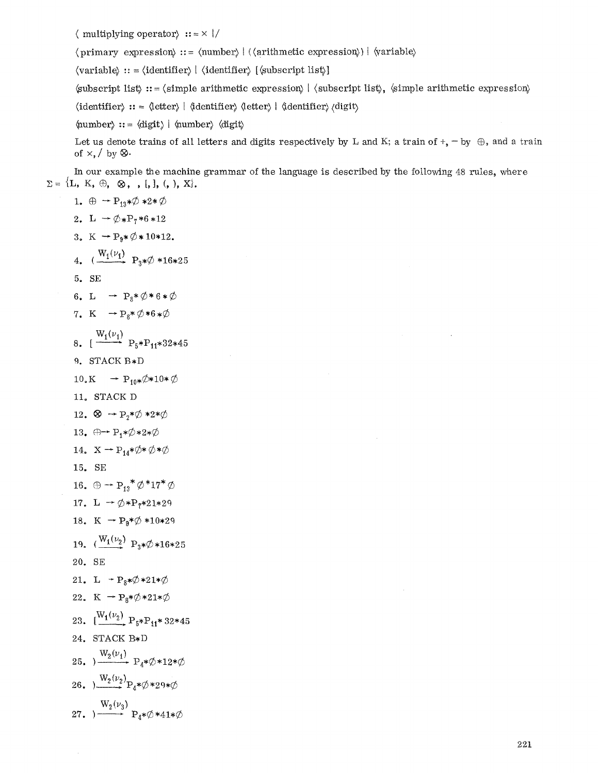$\langle$  multiplying operator $\rangle$  :: =  $\times$  |/

 $\langle$  primary expression $\rangle$  :: =  $\langle$  number $\rangle$  |  $\langle$  (arithmetic expression $\rangle$ ) |  $\langle$  variable $\rangle$ 

 $\langle \text{variable} \rangle ::= \langle \text{identity} | \langle \text{identity} | \langle \text{subscript} \text{list} \rangle \rangle \rangle$ 

 $\langle \text{subscript line} \rangle : = \langle \text{simple arithmetic expression} \rangle \langle \text{subscript line} \rangle$ ,  $\langle \text{simple arithmetic expression} \rangle$ 

 $\langle$ identifier $\rangle$ :: =  $\langle$ letter $\rangle$  |  $\langle$ dentifier $\rangle$  (digit)  $\langle$ digit)

 $\langle \text{number} \rangle ::= \langle \text{digit} \rangle \mid \langle \text{number} \rangle \langle \text{digit} \rangle$ 

Let us denote trains of all letters and digits respectively by L and K; a train of  $+$ ,  $-$  by  $\oplus$ , and a train of  $\times$ ,  $\prime$  by  $\otimes$ .

In our example the machine grammar of the language is described by the following 48 rules, where  $\Sigma = \{L, K, \oplus, \otimes, , [,], (,), X\}.$ 

1.  $\oplus -P_{13}*\emptyset *2*\emptyset$ 2. L  $\rightarrow \emptyset_{*}P_{7}*6*12$ 3. K  $\rightarrow P_9 * \emptyset * 10 * 12.$ 4.  $(\frac{W_1(\nu_1)}{P_2*\emptyset *16*25})$ **5.** SE 6. L  $\rightarrow P_8 * \emptyset * 6 * \emptyset$ 7. K  $\rightarrow P_8 * \emptyset * 6 * \emptyset$  $W_1(\nu_1)$ 8. [  $\longrightarrow P_5*P_{11}*32*45$ 9. STACK B\*D  $10_* K \rightarrow P_{10} * \emptyset * 10 * \emptyset$ 11. STACK D 12.  $\otimes$   $\rightarrow$  P<sub>2</sub>\* $\emptyset$  \*2\* $\emptyset$ 13.  $\oplus \rightarrow P_1 * \emptyset * 2 * \emptyset$ 14.  $X \rightarrow P_{14} * \emptyset * \emptyset * \emptyset$ 15. SE 16.  $\oplus$  - P<sub>13</sub>\* $\phi$ \*17\* $\phi$ 17. L  $\rightarrow \emptyset *P_{7}*21*29$ 18. K  $\rightarrow P_9 * \emptyset * 10 * 29$ 19.  $(\frac{W_1(\nu_2)}{P_3*}\mathcal{O}*16*25)$ 20. SE 21. L  $\rightarrow P_8 * \emptyset * 21 * \emptyset$ 22. K  $\rightarrow P_8 * \emptyset * 21 * \emptyset$ 23.  $\left[\frac{W_1(\nu_2)}{P_5*P_{11}*32*45}\right]$ 24. STACK B\*D 25.  $\frac{W_2(\nu_1)}{W_1 \cdots W_4 \neq \emptyset \neq 12 \neq \emptyset}$ 26.  $W_2(\nu_2)P_4*\phi*29*\phi$  $W_2(\nu_3)$ 27. ) $\longrightarrow$   $P_4 * \varphi * 41*$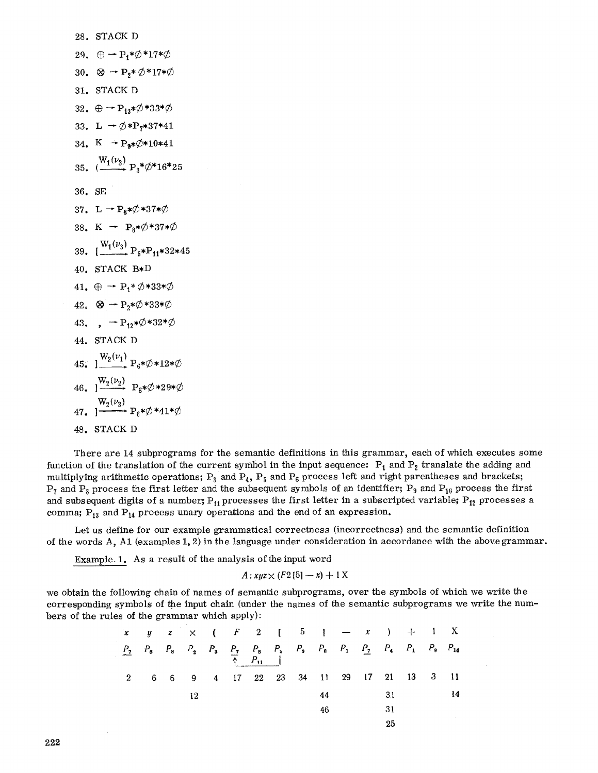28. STACK D  
\n29. 
$$
\oplus \rightarrow P_1 * \emptyset * 17 * \emptyset
$$
  
\n30.  $\otimes \rightarrow P_2 * \emptyset * 17 * \emptyset$   
\n31. STACK D  
\n32.  $\oplus \rightarrow P_{13} * \emptyset * 33 * \emptyset$   
\n33. L  $\rightarrow \emptyset * P_7 * 37 * 41$   
\n34. K  $\rightarrow P_9 * \emptyset * 10 * 41$   
\n35.  $\left(\frac{W_1(\nu_3)}{\cdots} P_3 * \emptyset * 37 * \emptyset \right)$   
\n38. K  $\rightarrow P_8 * \emptyset * 37 * \emptyset$   
\n39.  $\left[\frac{W_1(\nu_3)}{\cdots} P_5 * P_{11} * 32 * 45 \right]$   
\n40. STACK B\*D  
\n41.  $\oplus \rightarrow P_1 * \emptyset * 33 * \emptyset$   
\n42.  $\otimes \rightarrow P_2 * \emptyset * 33 * \emptyset$   
\n43.  $\rightarrow P_{12} * \emptyset * 33 * \emptyset$   
\n44. STACK D  
\n45.  $\left[\frac{W_2(\nu_1)}{\cdots} P_6 * \emptyset * 12 * \emptyset \right]$   
\n46.  $\left[\frac{W_2(\nu_2)}{2}\right] P_6 * \emptyset * 29 * \emptyset$   
\n47.  $\left[\frac{W_2(\nu_3)}{2}\right] P_6 * \emptyset * 41 * \emptyset$   
\n48. STACK D

There are 14 subprograms for the semantic definitions in this grammar, each of which executes some function of the translation of the current symbol in the input sequence:  $P_1$  and  $P_2$  translate the adding and multiplying arithmetic operations;  $P_3$  and  $P_4$ ,  $P_5$  and  $P_6$  process left and right parentheses and brackets;  $P_7$  and  $P_8$  process the first letter and the subsequent symbols of an identifier;  $P_9$  and  $P_{10}$  process the first and subsequent digits of a number;  $P_{11}$  processes the first letter in a subscripted variable;  $P_{12}$  processes a comma;  $P_{13}$  and  $P_{14}$  process unary operations and the end of an expression.

Let us define for our example grammatical correctness (incorrectness) and the semantic definition of the words A, A1 (examples 1, 2) in the language under consideration in accordance with the above grammar.

Example. 1. As a result of the analysis of the input word

 $A: xyz \times (F2 [5] - x) + 1 X$ 

we obtain the following chain of names of semantic subprograms, over the symbols of which we write the corresponding symbols of the input chain (under the names of the semantic subprograms we write the numbers of the rules of the grammar which apply):

| $x \quad y \quad z \quad \times \quad (F \quad 2 \quad [5] \quad - \quad x \quad ) \quad + \quad 1 \quad X$ |  |    |                                         |  |    |  |    |  |  |
|-------------------------------------------------------------------------------------------------------------|--|----|-----------------------------------------|--|----|--|----|--|--|
| $P_2$ $P_8$ $P_8$ $P_2$ $P_3$ $P_7$ $P_8$ $P_5$ $P_9$ $P_8$ $P_1$ $P_2$ $P_4$ $P_1$ $P_9$ $P_{14}$          |  |    |                                         |  |    |  |    |  |  |
|                                                                                                             |  |    | 6 6 9 4 17 22 23 34 11 29 17 21 13 3 11 |  |    |  |    |  |  |
|                                                                                                             |  | 12 |                                         |  | 44 |  | 31 |  |  |
|                                                                                                             |  |    |                                         |  | 46 |  | 31 |  |  |
|                                                                                                             |  |    |                                         |  |    |  | 25 |  |  |